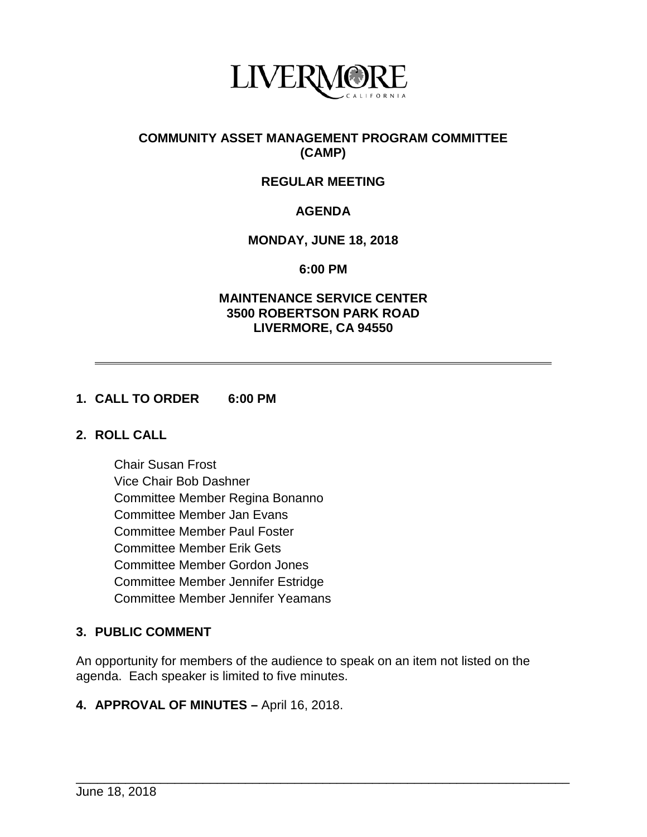

### **COMMUNITY ASSET MANAGEMENT PROGRAM COMMITTEE (CAMP)**

# **REGULAR MEETING**

# **AGENDA**

### **MONDAY, JUNE 18, 2018**

#### **6:00 PM**

### **MAINTENANCE SERVICE CENTER 3500 ROBERTSON PARK ROAD LIVERMORE, CA 94550**

#### **1. CALL TO ORDER 6:00 PM**

#### **2. ROLL CALL**

Chair Susan Frost Vice Chair Bob Dashner Committee Member Regina Bonanno Committee Member Jan Evans Committee Member Paul Foster Committee Member Erik Gets Committee Member Gordon Jones Committee Member Jennifer Estridge Committee Member Jennifer Yeamans

# **3. PUBLIC COMMENT**

An opportunity for members of the audience to speak on an item not listed on the agenda. Each speaker is limited to five minutes.

\_\_\_\_\_\_\_\_\_\_\_\_\_\_\_\_\_\_\_\_\_\_\_\_\_\_\_\_\_\_\_\_\_\_\_\_\_\_\_\_\_\_\_\_\_\_\_\_\_\_\_\_\_\_\_\_\_\_\_\_\_\_\_\_\_\_\_\_\_\_

#### **4. APPROVAL OF MINUTES –** April 16, 2018.